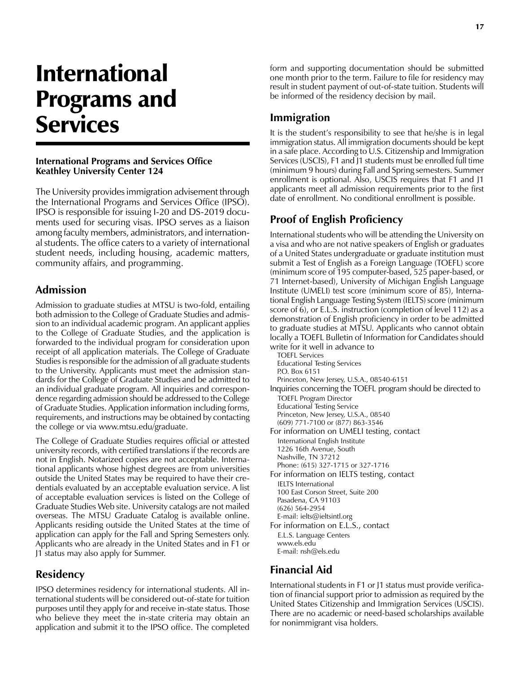# International Programs and Services

#### **International Programs and Services Office Keathley University Center 124**

The University provides immigration advisement through the International Programs and Services Office (IPSO). IPSO is responsible for issuing I-20 and DS-2019 documents used for securing visas. IPSO serves as a liaison among faculty members, administrators, and international students. The office caters to a variety of international student needs, including housing, academic matters, community affairs, and programming.

## **Admission**

Admission to graduate studies at MTSU is two-fold, entailing both admission to the College of Graduate Studies and admission to an individual academic program. An applicant applies to the College of Graduate Studies, and the application is forwarded to the individual program for consideration upon receipt of all application materials. The College of Graduate Studies is responsible for the admission of all graduate students to the University. Applicants must meet the admission standards for the College of Graduate Studies and be admitted to an individual graduate program. All inquiries and correspondence regarding admission should be addressed to the College of Graduate Studies. Application information including forms, requirements, and instructions may be obtained by contacting the college or via www.mtsu.edu/graduate.

The College of Graduate Studies requires official or attested university records, with certified translations if the records are not in English. Notarized copies are not acceptable. International applicants whose highest degrees are from universities outside the United States may be required to have their credentials evaluated by an acceptable evaluation service. A list of acceptable evaluation services is listed on the College of Graduate Studies Web site. University catalogs are not mailed overseas. The MTSU Graduate Catalog is available online. Applicants residing outside the United States at the time of application can apply for the Fall and Spring Semesters only. Applicants who are already in the United States and in F1 or J1 status may also apply for Summer.

# **Residency**

IPSO determines residency for international students. All international students will be considered out-of-state for tuition purposes until they apply for and receive in-state status. Those who believe they meet the in-state criteria may obtain an application and submit it to the IPSO office. The completed form and supporting documentation should be submitted one month prior to the term. Failure to file for residency may result in student payment of out-of-state tuition. Students will be informed of the residency decision by mail.

# **Immigration**

It is the student's responsibility to see that he/she is in legal immigration status. All immigration documents should be kept in a safe place. According to U.S. Citizenship and Immigration Services (USCIS), F1 and J1 students must be enrolled full time (minimum 9 hours) during Fall and Spring semesters. Summer enrollment is optional. Also, USCIS requires that F1 and J1 applicants meet all admission requirements prior to the first date of enrollment. No conditional enrollment is possible.

# **Proof of English Proficiency**

International students who will be attending the University on a visa and who are not native speakers of English or graduates of a United States undergraduate or graduate institution must submit a Test of English as a Foreign Language (TOEFL) score (minimum score of 195 computer-based, 525 paper-based, or 71 Internet-based), University of Michigan English Language Institute (UMELI) test score (minimum score of 85), International English Language Testing System (IELTS) score (minimum score of 6), or E.L.S. instruction (completion of level 112) as a demonstration of English proficiency in order to be admitted to graduate studies at MTSU. Applicants who cannot obtain locally a TOEFL Bulletin of Information for Candidates should write for it well in advance to

TOEFL Services Educational Testing Services P.O. Box 6151 Princeton, New Jersey, U.S.A., 08540-6151 Inquiries concerning the TOEFL program should be directed to TOEFL Program Director Educational Testing Service Princeton, New Jersey, U.S.A., 08540 (609) 771-7100 or (877) 863-3546 For information on UMELI testing, contact International English Institute 1226 16th Avenue, South Nashville, TN 37212 Phone: (615) 327-1715 or 327-1716 For information on IELTS testing, contact IELTS International 100 East Corson Street, Suite 200 Pasadena, CA 91103 (626) 564-2954 E-mail: ielts@ieltsintl.org For information on E.L.S., contact E.L.S. Language Centers www.els.edu E-mail: nsh@els.edu

# **Financial Aid**

International students in F1 or J1 status must provide verification of financial support prior to admission as required by the United States Citizenship and Immigration Services (USCIS). There are no academic or need-based scholarships available for nonimmigrant visa holders.